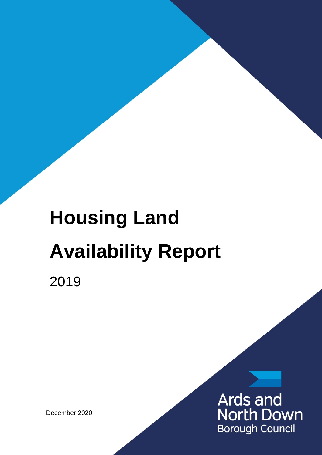# **Housing Land Availability Report**

2019

December 2020

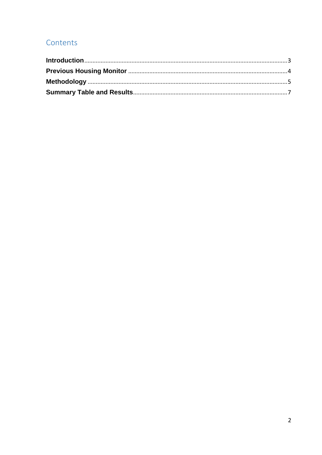### Contents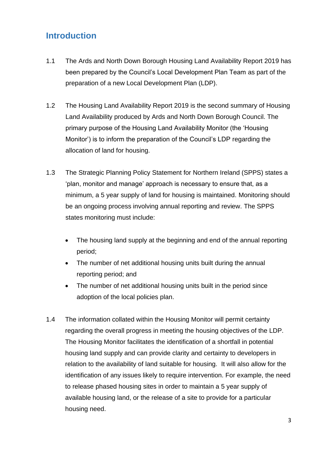# <span id="page-2-0"></span>**Introduction**

- 1.1 The Ards and North Down Borough Housing Land Availability Report 2019 has been prepared by the Council's Local Development Plan Team as part of the preparation of a new Local Development Plan (LDP).
- 1.2 The Housing Land Availability Report 2019 is the second summary of Housing Land Availability produced by Ards and North Down Borough Council. The primary purpose of the Housing Land Availability Monitor (the 'Housing Monitor') is to inform the preparation of the Council's LDP regarding the allocation of land for housing.
- 1.3 The Strategic Planning Policy Statement for Northern Ireland (SPPS) states a 'plan, monitor and manage' approach is necessary to ensure that, as a minimum, a 5 year supply of land for housing is maintained. Monitoring should be an ongoing process involving annual reporting and review. The SPPS states monitoring must include:
	- The housing land supply at the beginning and end of the annual reporting period;
	- The number of net additional housing units built during the annual reporting period; and
	- The number of net additional housing units built in the period since adoption of the local policies plan.
- 1.4 The information collated within the Housing Monitor will permit certainty regarding the overall progress in meeting the housing objectives of the LDP. The Housing Monitor facilitates the identification of a shortfall in potential housing land supply and can provide clarity and certainty to developers in relation to the availability of land suitable for housing. It will also allow for the identification of any issues likely to require intervention. For example, the need to release phased housing sites in order to maintain a 5 year supply of available housing land, or the release of a site to provide for a particular housing need.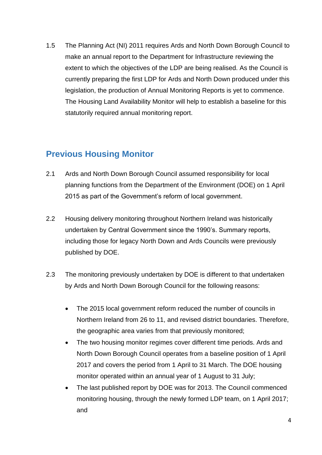1.5 The Planning Act (NI) 2011 requires Ards and North Down Borough Council to make an annual report to the Department for Infrastructure reviewing the extent to which the objectives of the LDP are being realised. As the Council is currently preparing the first LDP for Ards and North Down produced under this legislation, the production of Annual Monitoring Reports is yet to commence. The Housing Land Availability Monitor will help to establish a baseline for this statutorily required annual monitoring report.

## <span id="page-3-0"></span>**Previous Housing Monitor**

- 2.1 Ards and North Down Borough Council assumed responsibility for local planning functions from the Department of the Environment (DOE) on 1 April 2015 as part of the Government's reform of local government.
- 2.2 Housing delivery monitoring throughout Northern Ireland was historically undertaken by Central Government since the 1990's. Summary reports, including those for legacy North Down and Ards Councils were previously published by DOE.
- 2.3 The monitoring previously undertaken by DOE is different to that undertaken by Ards and North Down Borough Council for the following reasons:
	- The 2015 local government reform reduced the number of councils in Northern Ireland from 26 to 11, and revised district boundaries. Therefore, the geographic area varies from that previously monitored;
	- The two housing monitor regimes cover different time periods. Ards and North Down Borough Council operates from a baseline position of 1 April 2017 and covers the period from 1 April to 31 March. The DOE housing monitor operated within an annual year of 1 August to 31 July;
	- The last published report by DOE was for 2013. The Council commenced monitoring housing, through the newly formed LDP team, on 1 April 2017; and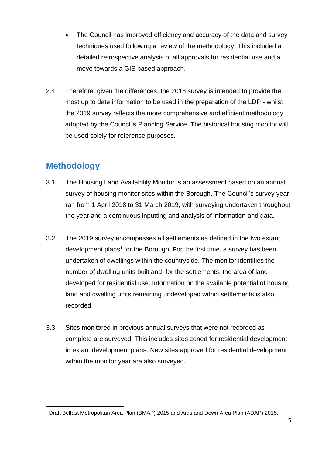- The Council has improved efficiency and accuracy of the data and survey techniques used following a review of the methodology. This included a detailed retrospective analysis of all approvals for residential use and a move towards a GIS based approach.
- 2.4 Therefore, given the differences, the 2018 survey is intended to provide the most up to date information to be used in the preparation of the LDP - whilst the 2019 survey reflects the more comprehensive and efficient methodology adopted by the Council's Planning Service. The historical housing monitor will be used solely for reference purposes.

## <span id="page-4-0"></span>**Methodology**

- 3.1 The Housing Land Availability Monitor is an assessment based on an annual survey of housing monitor sites within the Borough. The Council's survey year ran from 1 April 2018 to 31 March 2019, with surveying undertaken throughout the year and a continuous inputting and analysis of information and data.
- 3.2 The 2019 survey encompasses all settlements as defined in the two extant development plans<sup>1</sup> for the Borough. For the first time, a survey has been undertaken of dwellings within the countryside. The monitor identifies the number of dwelling units built and, for the settlements, the area of land developed for residential use. Information on the available potential of housing land and dwelling units remaining undeveloped within settlements is also recorded.
- 3.3 Sites monitored in previous annual surveys that were not recorded as complete are surveyed. This includes sites zoned for residential development in extant development plans. New sites approved for residential development within the monitor year are also surveyed.

<sup>&</sup>lt;sup>1</sup> Draft Belfast Metropolitan Area Plan (BMAP) 2015 and Ards and Down Area Plan (ADAP) 2015.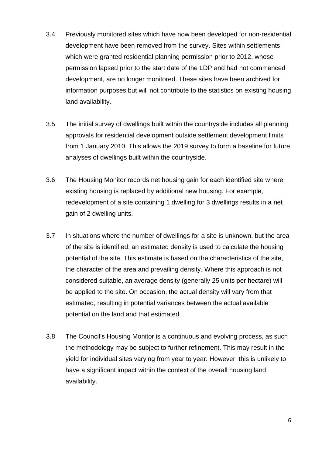- 3.4 Previously monitored sites which have now been developed for non-residential development have been removed from the survey. Sites within settlements which were granted residential planning permission prior to 2012, whose permission lapsed prior to the start date of the LDP and had not commenced development, are no longer monitored. These sites have been archived for information purposes but will not contribute to the statistics on existing housing land availability.
- 3.5 The initial survey of dwellings built within the countryside includes all planning approvals for residential development outside settlement development limits from 1 January 2010. This allows the 2019 survey to form a baseline for future analyses of dwellings built within the countryside.
- 3.6 The Housing Monitor records net housing gain for each identified site where existing housing is replaced by additional new housing. For example, redevelopment of a site containing 1 dwelling for 3 dwellings results in a net gain of 2 dwelling units.
- 3.7 In situations where the number of dwellings for a site is unknown, but the area of the site is identified, an estimated density is used to calculate the housing potential of the site. This estimate is based on the characteristics of the site, the character of the area and prevailing density. Where this approach is not considered suitable, an average density (generally 25 units per hectare) will be applied to the site. On occasion, the actual density will vary from that estimated, resulting in potential variances between the actual available potential on the land and that estimated.
- 3.8 The Council's Housing Monitor is a continuous and evolving process, as such the methodology may be subject to further refinement. This may result in the yield for individual sites varying from year to year. However, this is unlikely to have a significant impact within the context of the overall housing land availability.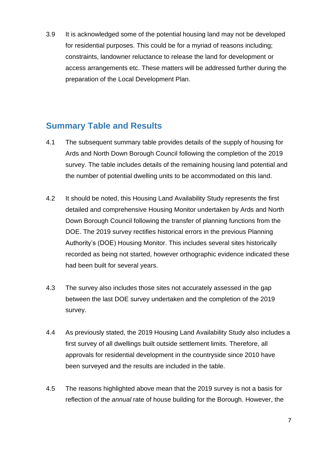3.9 It is acknowledged some of the potential housing land may not be developed for residential purposes. This could be for a myriad of reasons including; constraints, landowner reluctance to release the land for development or access arrangements etc. These matters will be addressed further during the preparation of the Local Development Plan.

#### <span id="page-6-0"></span>**Summary Table and Results**

- 4.1 The subsequent summary table provides details of the supply of housing for Ards and North Down Borough Council following the completion of the 2019 survey. The table includes details of the remaining housing land potential and the number of potential dwelling units to be accommodated on this land.
- 4.2 It should be noted, this Housing Land Availability Study represents the first detailed and comprehensive Housing Monitor undertaken by Ards and North Down Borough Council following the transfer of planning functions from the DOE. The 2019 survey rectifies historical errors in the previous Planning Authority's (DOE) Housing Monitor. This includes several sites historically recorded as being not started, however orthographic evidence indicated these had been built for several years.
- 4.3 The survey also includes those sites not accurately assessed in the gap between the last DOE survey undertaken and the completion of the 2019 survey.
- 4.4 As previously stated, the 2019 Housing Land Availability Study also includes a first survey of all dwellings built outside settlement limits. Therefore, all approvals for residential development in the countryside since 2010 have been surveyed and the results are included in the table.
- 4.5 The reasons highlighted above mean that the 2019 survey is not a basis for reflection of the *annual* rate of house building for the Borough. However, the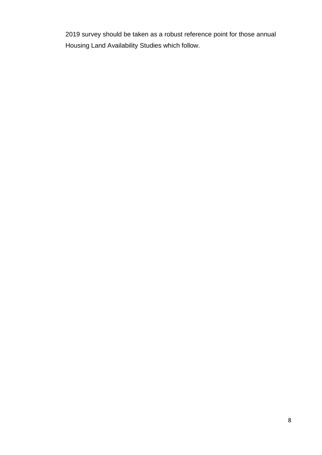2019 survey should be taken as a robust reference point for those annual Housing Land Availability Studies which follow.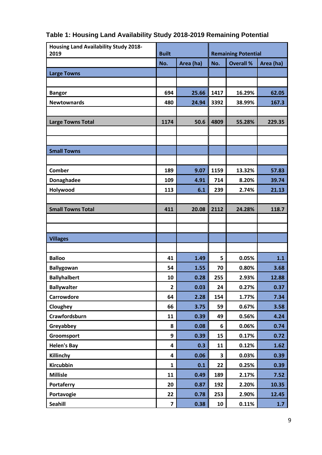| <b>Housing Land Availability Study 2018-</b><br>2019 | <b>Built</b> |           | <b>Remaining Potential</b> |                  |           |
|------------------------------------------------------|--------------|-----------|----------------------------|------------------|-----------|
|                                                      | No.          | Area (ha) | No.                        | <b>Overall %</b> | Area (ha) |
| <b>Large Towns</b>                                   |              |           |                            |                  |           |
|                                                      |              |           |                            |                  |           |
| <b>Bangor</b>                                        | 694          | 25.66     | 1417                       | 16.29%           | 62.05     |
| <b>Newtownards</b>                                   | 480          | 24.94     | 3392                       | 38.99%           | 167.3     |
|                                                      |              |           |                            |                  |           |
| <b>Large Towns Total</b>                             | 1174         | 50.6      | 4809                       | 55.28%           | 229.35    |
|                                                      |              |           |                            |                  |           |
|                                                      |              |           |                            |                  |           |
| <b>Small Towns</b>                                   |              |           |                            |                  |           |
|                                                      |              |           |                            |                  |           |
| Comber                                               | 189          | 9.07      | 1159                       | 13.32%           | 57.83     |
| Donaghadee                                           | 109          | 4.91      | 714                        | 8.20%            | 39.74     |
| Holywood                                             | 113          | 6.1       | 239                        | 2.74%            | 21.13     |
|                                                      |              |           |                            |                  |           |
| <b>Small Towns Total</b>                             | 411          | 20.08     | 2112                       | 24.28%           | 118.7     |
|                                                      |              |           |                            |                  |           |
|                                                      |              |           |                            |                  |           |
| <b>Villages</b>                                      |              |           |                            |                  |           |
|                                                      |              |           |                            |                  |           |
| <b>Balloo</b>                                        | 41           | 1.49      | 5                          | 0.05%            | 1.1       |
| <b>Ballygowan</b>                                    | 54           | 1.55      | 70                         | 0.80%            | 3.68      |
| <b>Ballyhalbert</b>                                  | 10           | 0.28      | 255                        | 2.93%            | 12.88     |
| <b>Ballywalter</b>                                   | $\mathbf{2}$ | 0.03      | 24                         | 0.27%            | 0.37      |
| Carrowdore                                           | 64           | 2.28      | 154                        | 1.77%            | 7.34      |
| Cloughey                                             | 66           | 3.75      | 59                         | 0.67%            | 3.58      |
| Crawfordsburn                                        | 11           | 0.39      | 49                         | 0.56%            | 4.24      |
| Greyabbey                                            | 8            | 0.08      | 6                          | 0.06%            | 0.74      |
| Groomsport                                           | 9            | 0.39      | 15                         | 0.17%            | 0.72      |
| <b>Helen's Bay</b>                                   | 4            | 0.3       | 11                         | 0.12%            | 1.62      |
| Killinchy                                            | 4            | 0.06      | 3                          | 0.03%            | 0.39      |
| Kircubbin                                            | $\mathbf{1}$ | 0.1       | 22                         | 0.25%            | 0.39      |
| <b>Millisle</b>                                      | 11           | 0.49      | 189                        | 2.17%            | 7.52      |
| Portaferry                                           | 20           | 0.87      | 192                        | 2.20%            | 10.35     |
| Portavogie                                           | 22           | 0.78      | 253                        | 2.90%            | 12.45     |
| Seahill                                              | 7            | 0.38      | 10                         | 0.11%            | 1.7       |

# **Table 1: Housing Land Availability Study 2018-2019 Remaining Potential**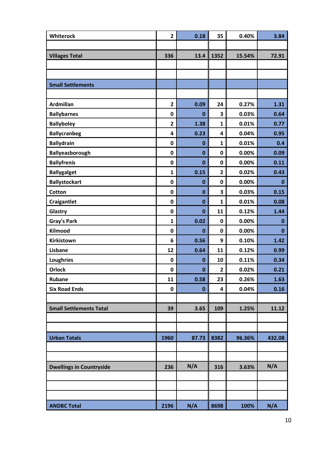| Whiterock                       | $\overline{2}$ | 0.18         | 35             | 0.40%    | 3.84         |
|---------------------------------|----------------|--------------|----------------|----------|--------------|
|                                 |                |              |                |          |              |
| <b>Villages Total</b>           | 336            | 13.4         | 1352           | 15.54%   | 72.91        |
|                                 |                |              |                |          |              |
|                                 |                |              |                |          |              |
| <b>Small Settlements</b>        |                |              |                |          |              |
|                                 |                |              |                |          |              |
| <b>Ardmillan</b>                | $\overline{2}$ | 0.09         | 24             | 0.27%    | 1.31         |
| <b>Ballybarnes</b>              | $\mathbf 0$    | $\bf{0}$     | 3              | 0.03%    | 0.64         |
| <b>Ballyboley</b>               | $\overline{2}$ | 1.38         | $\mathbf{1}$   | 0.01%    | 0.77         |
| <b>Ballycranbeg</b>             | 4              | 0.23         | 4              | 0.04%    | 0.95         |
| <b>Ballydrain</b>               | $\mathbf 0$    | $\bf{0}$     | $\mathbf{1}$   | 0.01%    | 0.4          |
| Ballyeasborough                 | $\mathbf 0$    | $\bf{0}$     | 0              | 0.00%    | 0.09         |
| <b>Ballyfrenis</b>              | $\mathbf 0$    | $\bf{0}$     | 0              | $0.00\%$ | 0.11         |
| <b>Ballygalget</b>              | $\mathbf{1}$   | 0.15         | $\overline{2}$ | 0.02%    | 0.43         |
| <b>Ballystockart</b>            | $\mathbf 0$    | $\bf{0}$     | 0              | 0.00%    | $\mathbf{0}$ |
| Cotton                          | $\mathbf 0$    | $\bf{0}$     | 3              | 0.03%    | 0.15         |
| <b>Craigantlet</b>              | $\mathbf 0$    | $\bf{0}$     | $\mathbf{1}$   | 0.01%    | 0.08         |
| Glastry                         | $\mathbf 0$    | $\bf{0}$     | 11             | 0.12%    | 1.44         |
| <b>Gray's Park</b>              | $\mathbf{1}$   | 0.02         | 0              | 0.00%    | 0            |
| Kilmood                         | $\mathbf 0$    | $\mathbf{0}$ | $\mathbf 0$    | 0.00%    | 0            |
| Kirkistown                      | 6              | 0.56         | 9              | 0.10%    | 1.42         |
| Lisbane                         | 12             | 0.64         | 11             | 0.12%    | 0.99         |
| <b>Loughries</b>                | $\mathbf 0$    | $\bf{0}$     | 10             | 0.11%    | 0.34         |
| <b>Orlock</b>                   | $\pmb{0}$      | $\bf{0}$     | $\overline{2}$ | 0.02%    | 0.21         |
| <b>Rubane</b>                   | 11             | 0.58         | 23             | 0.26%    | 1.63         |
| <b>Six Road Ends</b>            | $\mathbf 0$    | $\bf{0}$     | 4              | 0.04%    | 0.16         |
|                                 |                |              |                |          |              |
| <b>Small Settlements Total</b>  | 39             | 3.65         | 109            | 1.25%    | 11.12        |
|                                 |                |              |                |          |              |
|                                 |                |              |                |          |              |
| <b>Urban Totals</b>             | 1960           | 87.73        | 8382           | 96.36%   | 432.08       |
|                                 |                |              |                |          |              |
|                                 |                |              |                |          |              |
| <b>Dwellings in Countryside</b> | 236            | N/A          | 316            | 3.63%    | N/A          |
|                                 |                |              |                |          |              |
|                                 |                |              |                |          |              |
|                                 |                |              |                |          |              |
| <b>ANDBC Total</b>              | 2196           | N/A          | 8698           | 100%     | N/A          |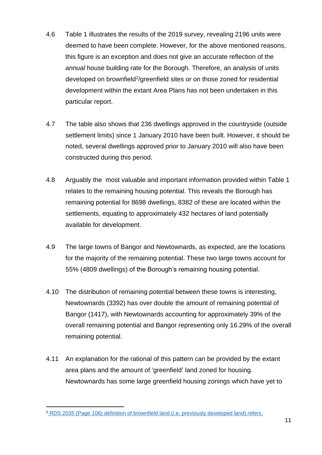- 4.6 Table 1 illustrates the results of the 2019 survey, revealing 2196 units were deemed to have been complete. However, for the above mentioned reasons, this figure is an exception and does not give an accurate reflection of the *annual* house building rate for the Borough. Therefore, an analysis of units developed on brownfield<sup>2</sup>/greenfield sites or on those zoned for residential development within the extant Area Plans has not been undertaken in this particular report.
- 4.7 The table also shows that 236 dwellings approved in the countryside (outside settlement limits) since 1 January 2010 have been built. However, it should be noted, several dwellings approved prior to January 2010 will also have been constructed during this period.
- 4.8 Arguably the most valuable and important information provided within Table 1 relates to the remaining housing potential. This reveals the Borough has remaining potential for 8698 dwellings, 8382 of these are located within the settlements, equating to approximately 432 hectares of land potentially available for development.
- 4.9 The large towns of Bangor and Newtownards, as expected, are the locations for the majority of the remaining potential. These two large towns account for 55% (4809 dwellings) of the Borough's remaining housing potential.
- 4.10 The distribution of remaining potential between these towns is interesting, Newtownards (3392) has over double the amount of remaining potential of Bangor (1417), with Newtownards accounting for approximately 39% of the overall remaining potential and Bangor representing only 16.29% of the overall remaining potential.
- 4.11 An explanation for the rational of this pattern can be provided by the extant area plans and the amount of 'greenfield' land zoned for housing. Newtownards has some large greenfield housing zonings which have yet to

<sup>2</sup> [RDS 2035 \(Page 106\) definition of brownfield land \(i.e. previously developed land\) refers.](https://www.infrastructure-ni.gov.uk/sites/default/files/publications/infrastructure/regional-development-strategy-2035.pdf)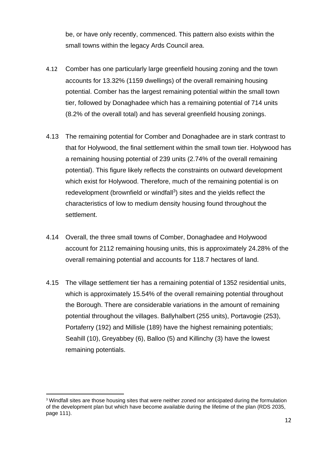be, or have only recently, commenced. This pattern also exists within the small towns within the legacy Ards Council area.

- 4.12 Comber has one particularly large greenfield housing zoning and the town accounts for 13.32% (1159 dwellings) of the overall remaining housing potential. Comber has the largest remaining potential within the small town tier, followed by Donaghadee which has a remaining potential of 714 units (8.2% of the overall total) and has several greenfield housing zonings.
- 4.13 The remaining potential for Comber and Donaghadee are in stark contrast to that for Holywood, the final settlement within the small town tier. Holywood has a remaining housing potential of 239 units (2.74% of the overall remaining potential). This figure likely reflects the constraints on outward development which exist for Holywood. Therefore, much of the remaining potential is on redevelopment (brownfield or windfall<sup>3</sup>) sites and the yields reflect the characteristics of low to medium density housing found throughout the settlement.
- 4.14 Overall, the three small towns of Comber, Donaghadee and Holywood account for 2112 remaining housing units, this is approximately 24.28% of the overall remaining potential and accounts for 118.7 hectares of land.
- 4.15 The village settlement tier has a remaining potential of 1352 residential units, which is approximately 15.54% of the overall remaining potential throughout the Borough. There are considerable variations in the amount of remaining potential throughout the villages. Ballyhalbert (255 units), Portavogie (253), Portaferry (192) and Millisle (189) have the highest remaining potentials; Seahill (10), Greyabbey (6), Balloo (5) and Killinchy (3) have the lowest remaining potentials.

<sup>&</sup>lt;sup>3</sup> Windfall sites are those housing sites that were neither zoned nor anticipated during the formulation of the development plan but which have become available during the lifetime of the plan (RDS 2035, page 111).